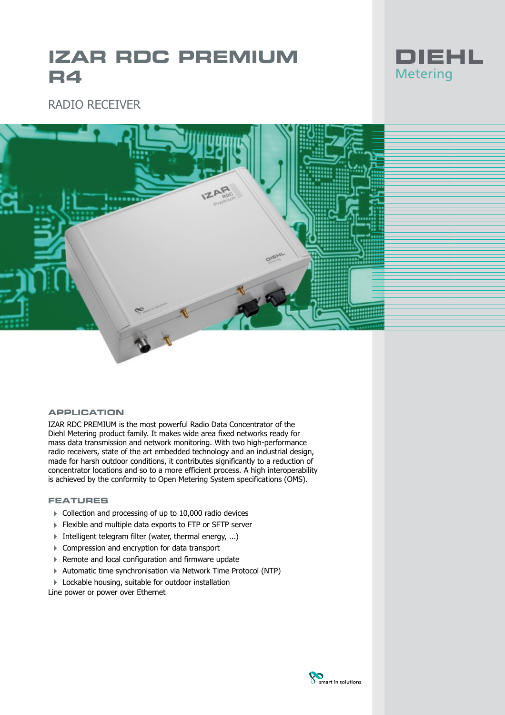# **IZAR RDC PREMIUM R4**



# RADIO RECEIVER



### **APPLICATION**

IZAR RDC PREMIUM is the most powerful Radio Data Concentrator of the Diehl Metering product family. It makes wide area fixed networks ready for mass data transmission and network monitoring. With two high-performance radio receivers, state of the art embedded technology and an industrial design, made for harsh outdoor conditions, it contributes significantly to a reduction of concentrator locations and so to a more efficient process. A high interoperability is achieved by the conformity to Open Metering System specifications (OMS).

#### **FEATURES**

- 4 Collection and processing of up to 10,000 radio devices
- 4 Flexible and multiple data exports to FTP or SFTP server
- $\blacktriangleright$  Intelligent telegram filter (water, thermal energy, ...)
- ▶ Compression and encryption for data transport
- 4 Remote and local configuration and firmware update
- 4 Automatic time synchronisation via Network Time Protocol (NTP)
- ▶ Lockable housing, suitable for outdoor installation

Line power or power over Ethernet